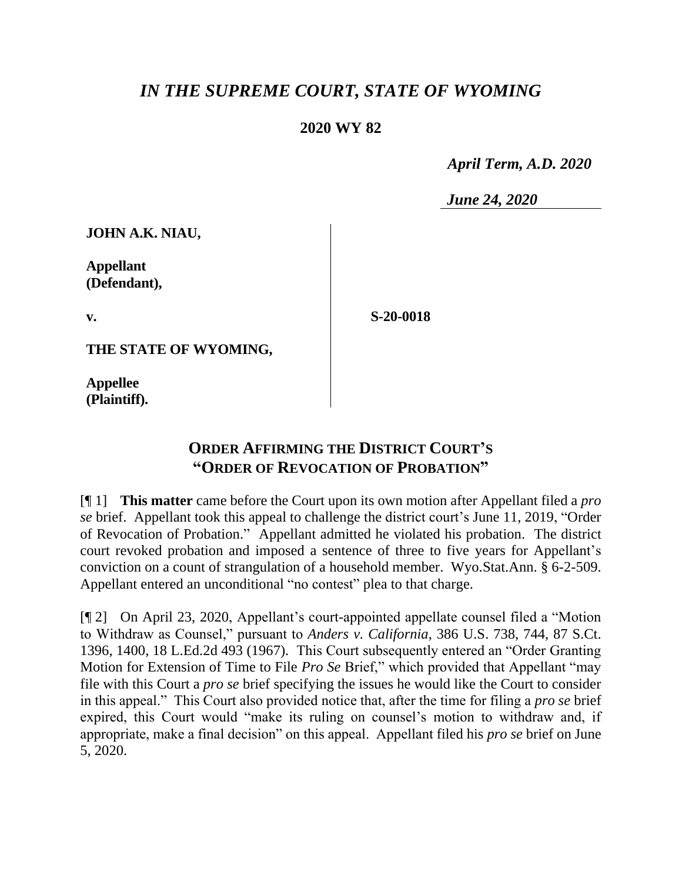## *IN THE SUPREME COURT, STATE OF WYOMING*

## **2020 WY 82**

 *April Term, A.D. 2020*

*June 24, 2020*

**JOHN A.K. NIAU,**

**Appellant (Defendant),**

**v.**

**S-20-0018**

**THE STATE OF WYOMING,**

**Appellee (Plaintiff).**

## **ORDER AFFIRMING THE DISTRICT COURT'S "ORDER OF REVOCATION OF PROBATION"**

[¶ 1] **This matter** came before the Court upon its own motion after Appellant filed a *pro se* brief. Appellant took this appeal to challenge the district court's June 11, 2019, "Order of Revocation of Probation." Appellant admitted he violated his probation. The district court revoked probation and imposed a sentence of three to five years for Appellant's conviction on a count of strangulation of a household member. Wyo.Stat.Ann. § 6-2-509. Appellant entered an unconditional "no contest" plea to that charge.

[¶ 2] On April 23, 2020, Appellant's court-appointed appellate counsel filed a "Motion to Withdraw as Counsel," pursuant to *Anders v. California*, 386 U.S. 738, 744, 87 S.Ct. 1396, 1400, 18 L.Ed.2d 493 (1967). This Court subsequently entered an "Order Granting Motion for Extension of Time to File *Pro Se* Brief," which provided that Appellant "may file with this Court a *pro se* brief specifying the issues he would like the Court to consider in this appeal." This Court also provided notice that, after the time for filing a *pro se* brief expired, this Court would "make its ruling on counsel's motion to withdraw and, if appropriate, make a final decision" on this appeal. Appellant filed his *pro se* brief on June 5, 2020.